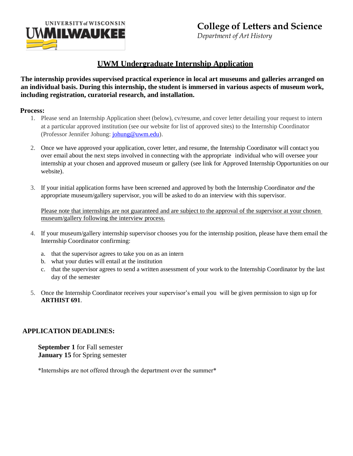

# **UWM Undergraduate Internship Application**

### **The internship provides supervised practical experience in local art museums and galleries arranged on an individual basis. During this internship, the student is immersed in various aspects of museum work, including registration, curatorial research, and installation.**

#### **Process:**

- 1. Please send an Internship Application sheet (below), cv/resume, and cover letter detailing your request to intern at a particular approved institution (see our website for list of approved sites) to the Internship Coordinator (Professor Jennifer Johung[: johung@uwm.edu\)](mailto:johung@uwm.edu).
- 2. Once we have approved your application, cover letter, and resume, the Internship Coordinator will contact you over email about the next steps involved in connecting with the appropriate individual who will oversee your internship at your chosen and approved museum or gallery (see link for Approved Internship Opportunities on our website).
- 3. If your initial application forms have been screened and approved by both the Internship Coordinator *and* the appropriate museum/gallery supervisor, you will be asked to do an interview with this supervisor.

Please note that internships are not guaranteed and are subject to the approval of the supervisor at your chosen museum/gallery following the interview process.

- 4. If your museum/gallery internship supervisor chooses you for the internship position, please have them email the Internship Coordinator confirming:
	- a. that the supervisor agrees to take you on as an intern
	- b. what your duties will entail at the institution
	- c. that the supervisor agrees to send a written assessment of your work to the Internship Coordinator by the last day of the semester
- 5. Once the Internship Coordinator receives your supervisor's email you will be given permission to sign up for **ARTHIST 691**.

### **APPLICATION DEADLINES:**

**September 1** for Fall semester **January 15** for Spring semester

\*Internships are not offered through the department over the summer\*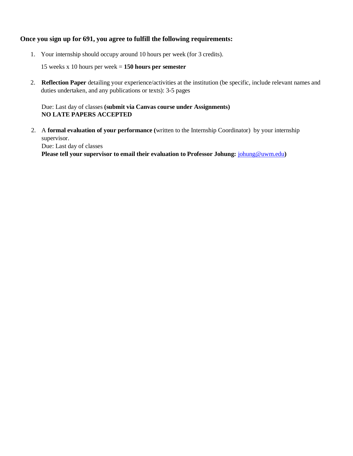#### **Once you sign up for 691, you agree to fulfill the following requirements:**

1. Your internship should occupy around 10 hours per week (for 3 credits).

15 weeks x 10 hours per week = **150 hours per semester**

2. **Reflection Paper** detailing your experience/activities at the institution (be specific, include relevant names and duties undertaken, and any publications or texts): 3-5 pages

#### Due: Last day of classes **(submit via Canvas course under Assignments) NO LATE PAPERS ACCEPTED**

2. A **formal evaluation of your performance (**written to the Internship Coordinator) by your internship supervisor. Due: Last day of classes

**Please tell your supervisor to email their evaluation to Professor Johung:**  $johung@uum.edu)$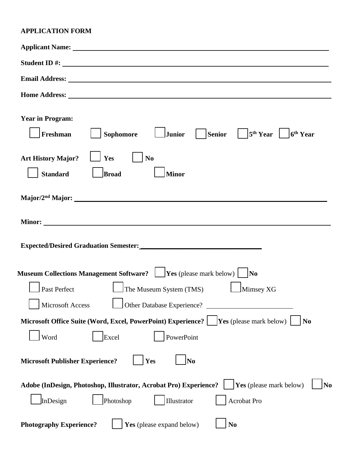## **APPLICATION FORM**

| Applicant Name: 1988 and 2008 and 2008 and 2008 and 2008 and 2008 and 2008 and 2008 and 2008 and 2008 and 2008                                                                                                                                                                                |
|-----------------------------------------------------------------------------------------------------------------------------------------------------------------------------------------------------------------------------------------------------------------------------------------------|
| Student ID #:                                                                                                                                                                                                                                                                                 |
| <b>Email Address:</b> <u>Contract Contract Contract Contract Contract Contract Contract Contract Contract Contract Contract Contract Contract Contract Contract Contract Contract Contract Contract Contract Contract Contract Contra</u>                                                     |
|                                                                                                                                                                                                                                                                                               |
| <b>Year in Program:</b><br>$ \text{Senior} \quad \quad 5^{\text{th}}\text{ Year} \quad $<br>Freshman<br>Junior<br><b>Sophomore</b><br>6 <sup>th</sup> Year                                                                                                                                    |
| <b>Art History Major?</b><br>Yes<br>N <sub>0</sub><br><b>Standard</b><br><b>Broad</b><br>Minor                                                                                                                                                                                                |
|                                                                                                                                                                                                                                                                                               |
|                                                                                                                                                                                                                                                                                               |
| Expected/Desired Graduation Semester:<br><u>Letter</u> and the semester: <b>Letter</b> and the semester: <b>Letter</b> and the semester: <b>Letter</b> and the semester: <b>Letter</b> and the semester: <b>Letter</b> and the semester: <b>Letter</b> and the seme                           |
| Museum Collections Management Software? $\Box$ Yes (please mark below) $\Box$ No                                                                                                                                                                                                              |
| Past Perfect<br>$\Box$ The Museum System (TMS)<br>Mimsey XG                                                                                                                                                                                                                                   |
| <u>and the second contract of the second contract of the second contract of the second contract of the second contract of the second contract of the second contract of the second contract of the second contract of the second</u><br><b>Microsoft Access</b><br>Other Database Experience? |
| Microsoft Office Suite (Word, Excel, PowerPoint) Experience?<br><b>Yes</b> (please mark below) $\vert$<br>N <sub>0</sub>                                                                                                                                                                      |
| Word<br>PowerPoint<br>Excel                                                                                                                                                                                                                                                                   |
| <b>Microsoft Publisher Experience?</b><br>Yes<br>N <sub>0</sub>                                                                                                                                                                                                                               |
| Yes (please mark below)<br>Adobe (InDesign, Photoshop, Illustrator, Acrobat Pro) Experience?<br>No<br>InDesign<br>Photoshop<br>Acrobat Pro<br>Illustrator                                                                                                                                     |
| Yes (please expand below)<br><b>Photography Experience?</b><br>N <sub>0</sub>                                                                                                                                                                                                                 |